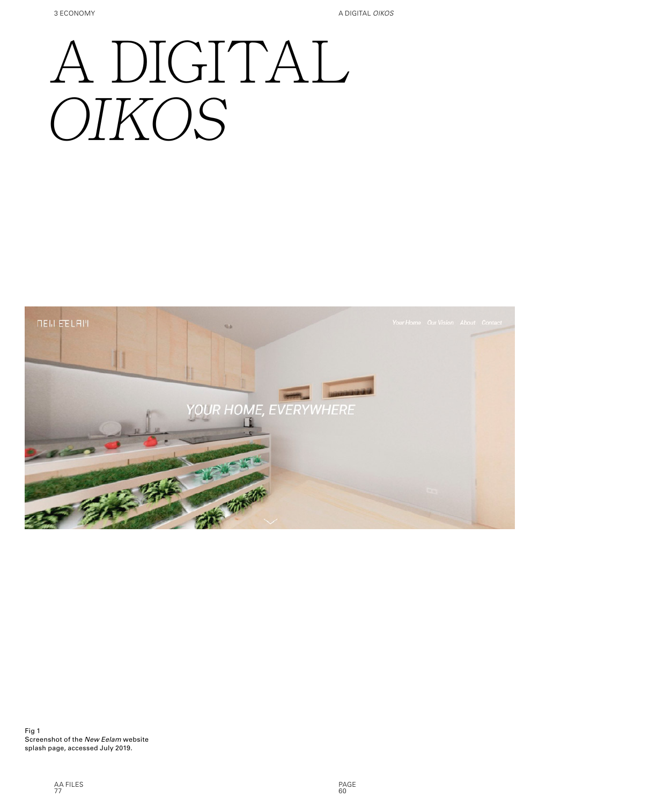## A DIGITAL OIKOS

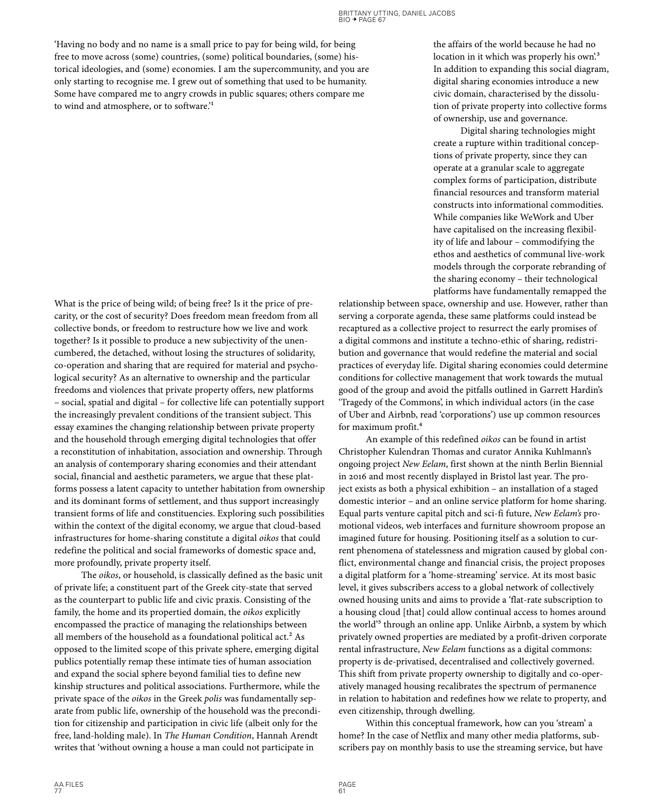'Having no body and no name is a small price to pay for being wild, for being free to move across (some) countries, (some) political boundaries, (some) historical ideologies, and (some) economies. I am the supercommunity, and you are only starting to recognise me. I grew out of something that used to be humanity. Some have compared me to angry crowds in public squares; others compare me to wind and atmosphere, or to software.'1

What is the price of being wild; of being free? Is it the price of precarity, or the cost of security? Does freedom mean freedom from all collective bonds, or freedom to restructure how we live and work together? Is it possible to produce a new subjectivity of the unencumbered, the detached, without losing the structures of solidarity, co-operation and sharing that are required for material and psychological security? As an alternative to ownership and the particular freedoms and violences that private property offers, new platforms – social, spatial and digital – for collective life can potentially support the increasingly prevalent conditions of the transient subject. This essay examines the changing relationship between private property and the household through emerging digital technologies that offer a reconstitution of inhabitation, association and ownership. Through an analysis of contemporary sharing economies and their attendant social, financial and aesthetic parameters, we argue that these platforms possess a latent capacity to untether habitation from ownership and its dominant forms of settlement, and thus support increasingly transient forms of life and constituencies. Exploring such possibilities within the context of the digital economy, we argue that cloud-based infrastructures for home-sharing constitute a digital *oikos* that could redefine the political and social frameworks of domestic space and, more profoundly, private property itself.

The *oikos*, or household, is classically defined as the basic unit of private life; a constituent part of the Greek city-state that served as the counterpart to public life and civic praxis. Consisting of the family, the home and its propertied domain, the *oikos* explicitly encompassed the practice of managing the relationships between all members of the household as a foundational political act.<sup>2</sup> As opposed to the limited scope of this private sphere, emerging digital publics potentially remap these intimate ties of human association and expand the social sphere beyond familial ties to define new kinship structures and political associations. Furthermore, while the private space of the *oikos* in the Greek *polis* was fundamentally separate from public life, ownership of the household was the precondition for citizenship and participation in civic life (albeit only for the free, land-holding male). In *The Human Condition*, Hannah Arendt writes that 'without owning a house a man could not participate in

the affairs of the world because he had no location in it which was properly his own.<sup>3</sup> In addition to expanding this social diagram, digital sharing economies introduce a new civic domain, characterised by the dissolution of private property into collective forms of ownership, use and governance.

Digital sharing technologies might create a rupture within traditional conceptions of private property, since they can operate at a granular scale to aggregate complex forms of participation, distribute financial resources and transform material constructs into informational commodities. While companies like WeWork and Uber have capitalised on the increasing flexibility of life and labour – commodifying the ethos and aesthetics of communal live-work models through the corporate rebranding of the sharing economy – their technological platforms have fundamentally remapped the

relationship between space, ownership and use. However, rather than serving a corporate agenda, these same platforms could instead be recaptured as a collective project to resurrect the early promises of a digital commons and institute a techno-ethic of sharing, redistribution and governance that would redefine the material and social practices of everyday life. Digital sharing economies could determine conditions for collective management that work towards the mutual good of the group and avoid the pitfalls outlined in Garrett Hardin's 'Tragedy of the Commons', in which individual actors (in the case of Uber and Airbnb, read 'corporations') use up common resources for maximum profit.4

An example of this redefined *oikos* can be found in artist Christopher Kulendran Thomas and curator Annika Kuhlmann's ongoing project *New Eelam*, first shown at the ninth Berlin Biennial in 2016 and most recently displayed in Bristol last year. The project exists as both a physical exhibition – an installation of a staged domestic interior – and an online service platform for home sharing. Equal parts venture capital pitch and sci-fi future, *New Eelam's* promotional videos, web interfaces and furniture showroom propose an imagined future for housing. Positioning itself as a solution to current phenomena of statelessness and migration caused by global conflict, environmental change and financial crisis, the project proposes a digital platform for a 'home-streaming' service. At its most basic level, it gives subscribers access to a global network of collectively owned housing units and aims to provide a 'flat-rate subscription to a housing cloud [that] could allow continual access to homes around the world'5 through an online app. Unlike Airbnb, a system by which privately owned properties are mediated by a profit-driven corporate rental infrastructure, *New Eelam* functions as a digital commons: property is de-privatised, decentralised and collectively governed. This shift from private property ownership to digitally and co-operatively managed housing recalibrates the spectrum of permanence in relation to habitation and redefines how we relate to property, and even citizenship, through dwelling.

Within this conceptual framework, how can you 'stream' a home? In the case of Netflix and many other media platforms, subscribers pay on monthly basis to use the streaming service, but have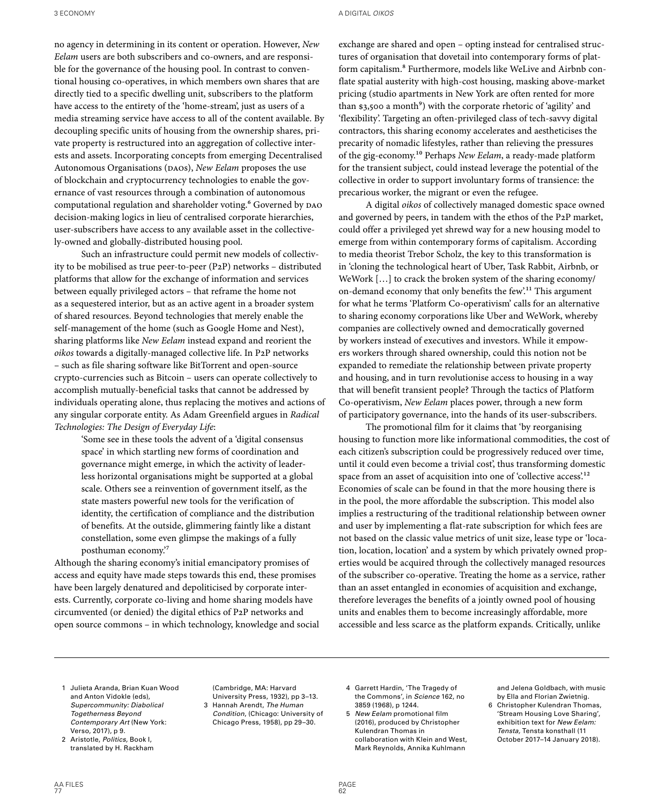no agency in determining in its content or operation. However, *New Eelam* users are both subscribers and co-owners, and are responsible for the governance of the housing pool. In contrast to conventional housing co-operatives, in which members own shares that are directly tied to a specific dwelling unit, subscribers to the platform have access to the entirety of the 'home-stream', just as users of a media streaming service have access to all of the content available. By decoupling specific units of housing from the ownership shares, private property is restructured into an aggregation of collective interests and assets. Incorporating concepts from emerging Decentralised Autonomous Organisations (DAOs), *New Eelam* proposes the use of blockchain and cryptocurrency technologies to enable the governance of vast resources through a combination of autonomous computational regulation and shareholder voting.6 Governed by DAO decision-making logics in lieu of centralised corporate hierarchies, user-subscribers have access to any available asset in the collectively-owned and globally-distributed housing pool.

Such an infrastructure could permit new models of collectivity to be mobilised as true peer-to-peer (P2P) networks – distributed platforms that allow for the exchange of information and services between equally privileged actors – that reframe the home not as a sequestered interior, but as an active agent in a broader system of shared resources. Beyond technologies that merely enable the self-management of the home (such as Google Home and Nest), sharing platforms like *New Eelam* instead expand and reorient the *oikos* towards a digitally-managed collective life. In P2P networks – such as file sharing software like BitTorrent and open-source crypto-currencies such as Bitcoin – users can operate collectively to accomplish mutually-beneficial tasks that cannot be addressed by individuals operating alone, thus replacing the motives and actions of any singular corporate entity. As Adam Greenfield argues in *Radical Technologies: The Design of Everyday Life*:

'Some see in these tools the advent of a 'digital consensus space' in which startling new forms of coordination and governance might emerge, in which the activity of leaderless horizontal organisations might be supported at a global scale. Others see a reinvention of government itself, as the state masters powerful new tools for the verification of identity, the certification of compliance and the distribution of benefits. At the outside, glimmering faintly like a distant constellation, some even glimpse the makings of a fully posthuman economy.'7

Although the sharing economy's initial emancipatory promises of access and equity have made steps towards this end, these promises have been largely denatured and depoliticised by corporate interests. Currently, corporate co-living and home sharing models have circumvented (or denied) the digital ethics of P2P networks and open source commons – in which technology, knowledge and social exchange are shared and open – opting instead for centralised structures of organisation that dovetail into contemporary forms of platform capitalism.<sup>8</sup> Furthermore, models like WeLive and Airbnb conflate spatial austerity with high-cost housing, masking above-market pricing (studio apartments in New York are often rented for more than \$3,500 a month<sup>9</sup>) with the corporate rhetoric of 'agility' and 'flexibility'. Targeting an often-privileged class of tech-savvy digital contractors, this sharing economy accelerates and aestheticises the precarity of nomadic lifestyles, rather than relieving the pressures of the gig-economy.10 Perhaps *New Eelam*, a ready-made platform for the transient subject, could instead leverage the potential of the collective in order to support involuntary forms of transience: the precarious worker, the migrant or even the refugee.

A digital *oikos* of collectively managed domestic space owned and governed by peers, in tandem with the ethos of the P2P market, could offer a privileged yet shrewd way for a new housing model to emerge from within contemporary forms of capitalism. According to media theorist Trebor Scholz, the key to this transformation is in 'cloning the technological heart of Uber, Task Rabbit, Airbnb, or WeWork […] to crack the broken system of the sharing economy/ on-demand economy that only benefits the few'.11 This argument for what he terms 'Platform Co-operativism' calls for an alternative to sharing economy corporations like Uber and WeWork, whereby companies are collectively owned and democratically governed by workers instead of executives and investors. While it empowers workers through shared ownership, could this notion not be expanded to remediate the relationship between private property and housing, and in turn revolutionise access to housing in a way that will benefit transient people? Through the tactics of Platform Co-operativism, *New Eelam* places power, through a new form of participatory governance, into the hands of its user-subscribers.

The promotional film for it claims that 'by reorganising housing to function more like informational commodities, the cost of each citizen's subscription could be progressively reduced over time, until it could even become a trivial cost', thus transforming domestic space from an asset of acquisition into one of 'collective access'.<sup>12</sup> Economies of scale can be found in that the more housing there is in the pool, the more affordable the subscription. This model also implies a restructuring of the traditional relationship between owner and user by implementing a flat-rate subscription for which fees are not based on the classic value metrics of unit size, lease type or 'location, location, location' and a system by which privately owned properties would be acquired through the collectively managed resources of the subscriber co-operative. Treating the home as a service, rather than an asset entangled in economies of acquisition and exchange, therefore leverages the benefits of a jointly owned pool of housing units and enables them to become increasingly affordable, more accessible and less scarce as the platform expands. Critically, unlike

- 1 Julieta Aranda, Brian Kuan Wood and Anton Vidokle (eds), *Supercommunity: Diabolical Togetherness Beyond Contemporary Art* (New York: Verso, 2017), p 9.
- 2 Aristotle, *Politics,* Book I, translated by H. Rackham

(Cambridge, MA: Harvard University Press, 1932), pp 3–13.

- 3 Hannah Arendt, *The Human Condition*, (Chicago: University of Chicago Press, 1958), pp 29–30.
- 4 Garrett Hardin, 'The Tragedy of the Commons', in *Science* 162, no 3859 (1968), p 1244.
- 5 *New Eelam* promotional film (2016), produced by Christopher Kulendran Thomas in collaboration with Klein and West, Mark Reynolds, Annika Kuhlmann

and Jelena Goldbach, with music by Ella and Florian Zwietnig.

6 Christopher Kulendran Thomas, 'Stream Housing Love Sharing', exhibition text for *New Eelam: Tensta,* Tensta konsthall (11 October 2017–14 January 2018).

PAGE 62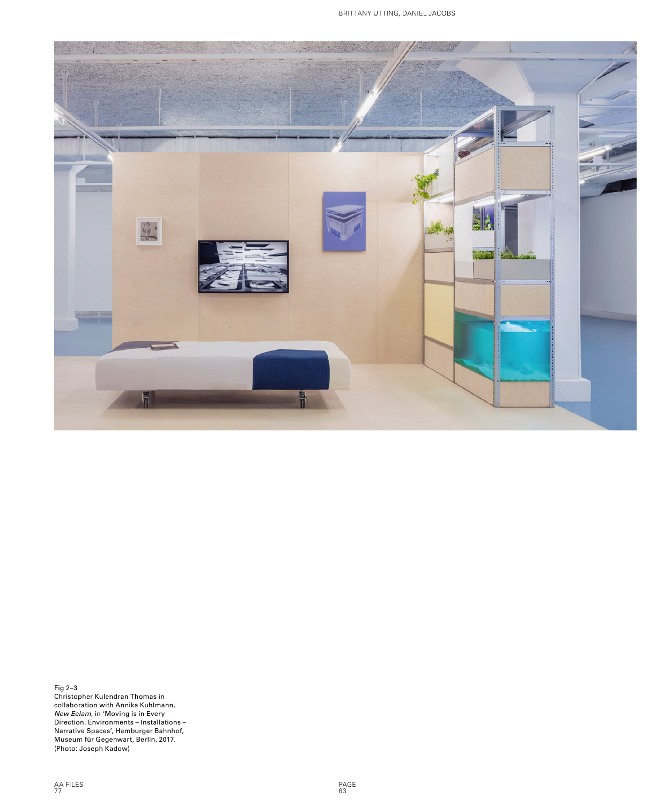

Fig 2–3 Christopher Kulendran Thomas in collaboration with Annika Kuhlmann, *New Eelam*, in 'Moving is in Every Direction. Environments – Installations – Narrative Spaces', Hamburger Bahnhof, Museum für Gegenwart, Berlin, 2017. (Photo: Joseph Kadow)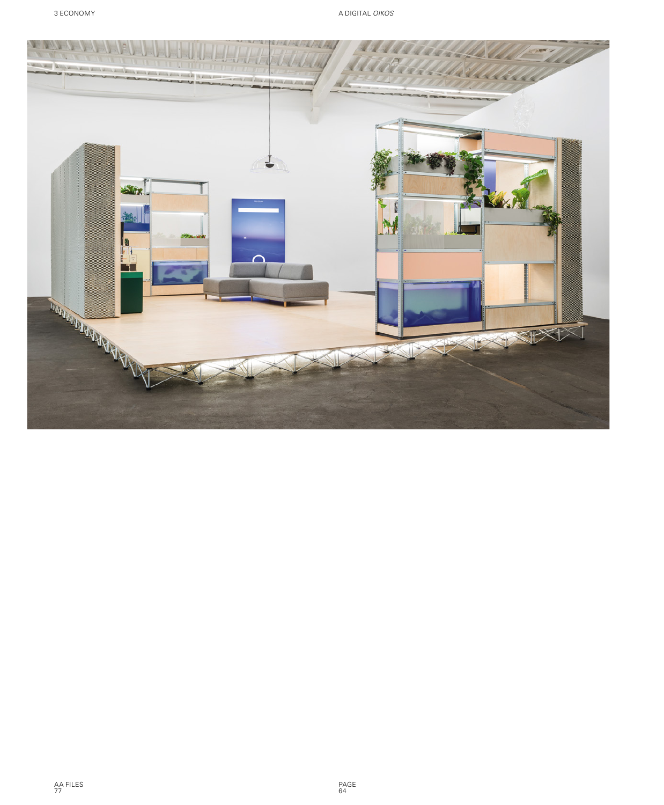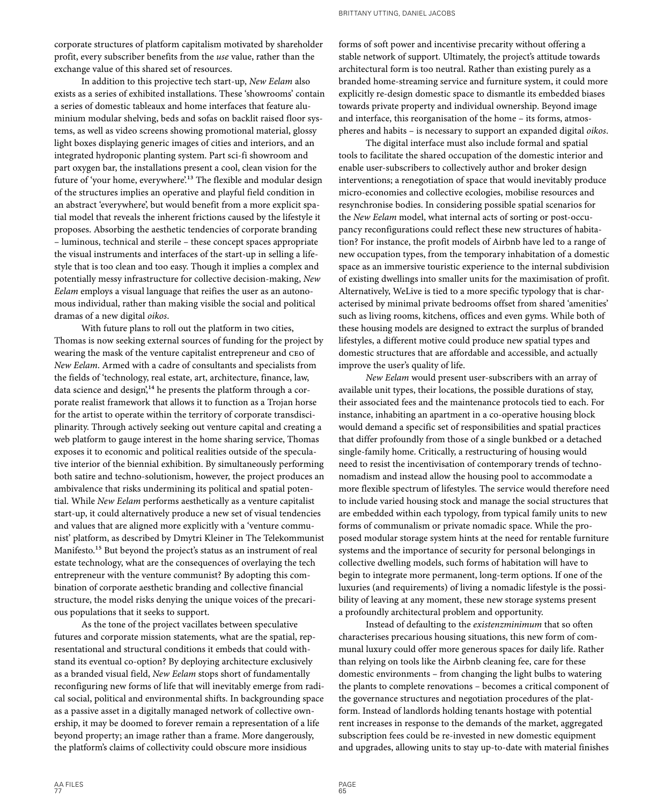corporate structures of platform capitalism motivated by shareholder profit, every subscriber benefits from the *use* value, rather than the exchange value of this shared set of resources.

In addition to this projective tech start-up, *New Eelam* also exists as a series of exhibited installations. These 'showrooms' contain a series of domestic tableaux and home interfaces that feature aluminium modular shelving, beds and sofas on backlit raised floor systems, as well as video screens showing promotional material, glossy light boxes displaying generic images of cities and interiors, and an integrated hydroponic planting system. Part sci-fi showroom and part oxygen bar, the installations present a cool, clean vision for the future of 'your home, everywhere'.13 The flexible and modular design of the structures implies an operative and playful field condition in an abstract 'everywhere', but would benefit from a more explicit spatial model that reveals the inherent frictions caused by the lifestyle it proposes. Absorbing the aesthetic tendencies of corporate branding – luminous, technical and sterile – these concept spaces appropriate the visual instruments and interfaces of the start-up in selling a lifestyle that is too clean and too easy. Though it implies a complex and potentially messy infrastructure for collective decision-making, *New Eelam* employs a visual language that reifies the user as an autonomous individual, rather than making visible the social and political dramas of a new digital *oikos*.

With future plans to roll out the platform in two cities, Thomas is now seeking external sources of funding for the project by wearing the mask of the venture capitalist entrepreneur and CEO of *New Eelam*. Armed with a cadre of consultants and specialists from the fields of 'technology, real estate, art, architecture, finance, law, data science and design',<sup>14</sup> he presents the platform through a corporate realist framework that allows it to function as a Trojan horse for the artist to operate within the territory of corporate transdisciplinarity. Through actively seeking out venture capital and creating a web platform to gauge interest in the home sharing service, Thomas exposes it to economic and political realities outside of the speculative interior of the biennial exhibition. By simultaneously performing both satire and techno-solutionism, however, the project produces an ambivalence that risks undermining its political and spatial potential. While *New Eelam* performs aesthetically as a venture capitalist start-up, it could alternatively produce a new set of visual tendencies and values that are aligned more explicitly with a 'venture communist' platform, as described by Dmytri Kleiner in The Telekommunist Manifesto.<sup>15</sup> But beyond the project's status as an instrument of real estate technology, what are the consequences of overlaying the tech entrepreneur with the venture communist? By adopting this combination of corporate aesthetic branding and collective financial structure, the model risks denying the unique voices of the precarious populations that it seeks to support.

As the tone of the project vacillates between speculative futures and corporate mission statements, what are the spatial, representational and structural conditions it embeds that could withstand its eventual co-option? By deploying architecture exclusively as a branded visual field, *New Eelam* stops short of fundamentally reconfiguring new forms of life that will inevitably emerge from radical social, political and environmental shifts. In backgrounding space as a passive asset in a digitally managed network of collective ownership, it may be doomed to forever remain a representation of a life beyond property; an image rather than a frame. More dangerously, the platform's claims of collectivity could obscure more insidious

forms of soft power and incentivise precarity without offering a stable network of support. Ultimately, the project's attitude towards architectural form is too neutral. Rather than existing purely as a branded home-streaming service and furniture system, it could more explicitly re-design domestic space to dismantle its embedded biases towards private property and individual ownership. Beyond image and interface, this reorganisation of the home – its forms, atmospheres and habits – is necessary to support an expanded digital *oikos*.

The digital interface must also include formal and spatial tools to facilitate the shared occupation of the domestic interior and enable user-subscribers to collectively author and broker design interventions; a renegotiation of space that would inevitably produce micro-economies and collective ecologies, mobilise resources and resynchronise bodies. In considering possible spatial scenarios for the *New Eelam* model, what internal acts of sorting or post-occupancy reconfigurations could reflect these new structures of habitation? For instance, the profit models of Airbnb have led to a range of new occupation types, from the temporary inhabitation of a domestic space as an immersive touristic experience to the internal subdivision of existing dwellings into smaller units for the maximisation of profit. Alternatively, WeLive is tied to a more specific typology that is characterised by minimal private bedrooms offset from shared 'amenities' such as living rooms, kitchens, offices and even gyms. While both of these housing models are designed to extract the surplus of branded lifestyles, a different motive could produce new spatial types and domestic structures that are affordable and accessible, and actually improve the user's quality of life.

*New Eelam* would present user-subscribers with an array of available unit types, their locations, the possible durations of stay, their associated fees and the maintenance protocols tied to each. For instance, inhabiting an apartment in a co-operative housing block would demand a specific set of responsibilities and spatial practices that differ profoundly from those of a single bunkbed or a detached single-family home. Critically, a restructuring of housing would need to resist the incentivisation of contemporary trends of technonomadism and instead allow the housing pool to accommodate a more flexible spectrum of lifestyles. The service would therefore need to include varied housing stock and manage the social structures that are embedded within each typology, from typical family units to new forms of communalism or private nomadic space. While the proposed modular storage system hints at the need for rentable furniture systems and the importance of security for personal belongings in collective dwelling models, such forms of habitation will have to begin to integrate more permanent, long-term options. If one of the luxuries (and requirements) of living a nomadic lifestyle is the possibility of leaving at any moment, these new storage systems present a profoundly architectural problem and opportunity.

Instead of defaulting to the *existenzminimum* that so often characterises precarious housing situations, this new form of communal luxury could offer more generous spaces for daily life. Rather than relying on tools like the Airbnb cleaning fee, care for these domestic environments – from changing the light bulbs to watering the plants to complete renovations – becomes a critical component of the governance structures and negotiation procedures of the platform. Instead of landlords holding tenants hostage with potential rent increases in response to the demands of the market, aggregated subscription fees could be re-invested in new domestic equipment and upgrades, allowing units to stay up-to-date with material finishes

PAGE 65